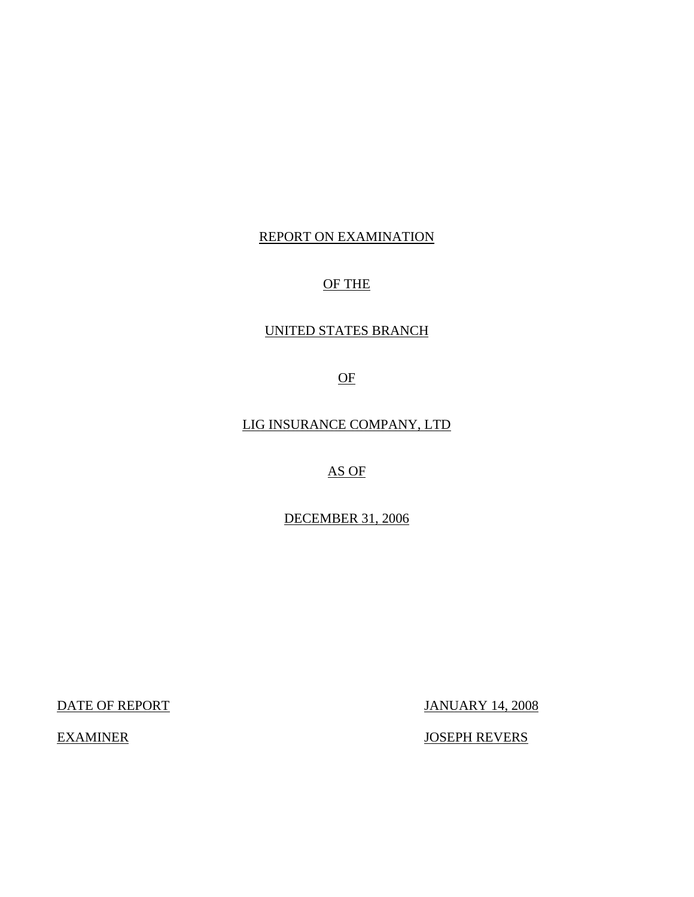## REPORT ON EXAMINATION

# OF THE

## UNITED STATES BRANCH

OF

LIG INSURANCE COMPANY, LTD

AS OF

DECEMBER 31, 2006

DATE OF REPORT JANUARY 14, 2008

EXAMINER JOSEPH REVERS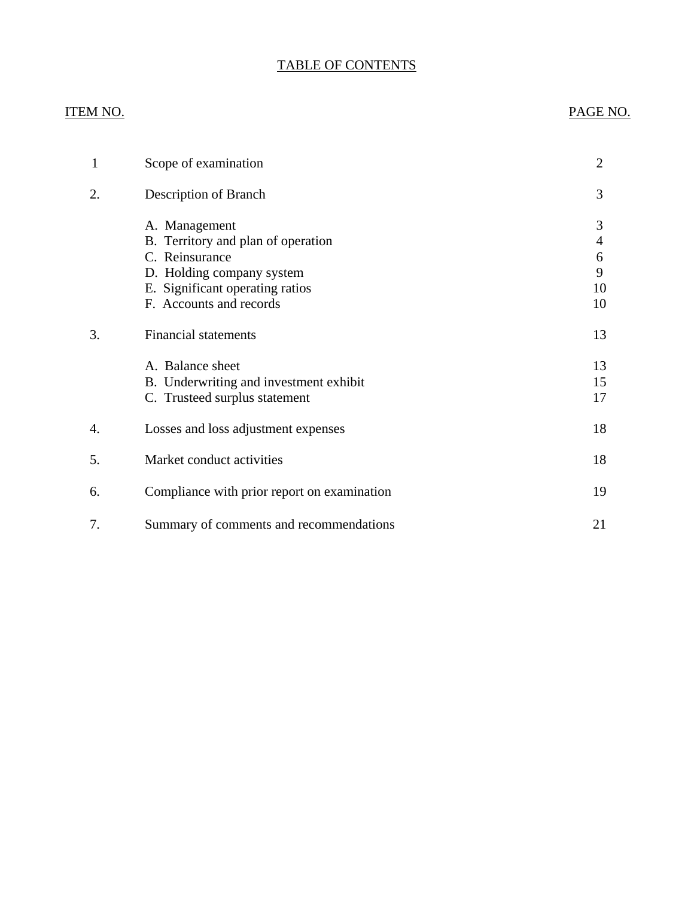# TABLE OF CONTENTS

# **ITEM NO.**

# PAGE NO.

| 1                | Scope of examination                                                                                                                                                                            | $\overline{2}$                                  |
|------------------|-------------------------------------------------------------------------------------------------------------------------------------------------------------------------------------------------|-------------------------------------------------|
| 2.               | Description of Branch                                                                                                                                                                           | 3                                               |
| 3.               | A. Management<br>B. Territory and plan of operation<br>C. Reinsurance<br>D. Holding company system<br>E. Significant operating ratios<br>F. Accounts and records<br><b>Financial statements</b> | 3<br>$\overline{4}$<br>6<br>9<br>10<br>10<br>13 |
|                  | A. Balance sheet<br>B. Underwriting and investment exhibit<br>C. Trusteed surplus statement                                                                                                     | 13<br>15<br>17                                  |
| $\overline{4}$ . | Losses and loss adjustment expenses                                                                                                                                                             | 18                                              |
| 5.               | Market conduct activities                                                                                                                                                                       | 18                                              |
| 6.               | Compliance with prior report on examination                                                                                                                                                     | 19                                              |
| 7.               | Summary of comments and recommendations                                                                                                                                                         | 21                                              |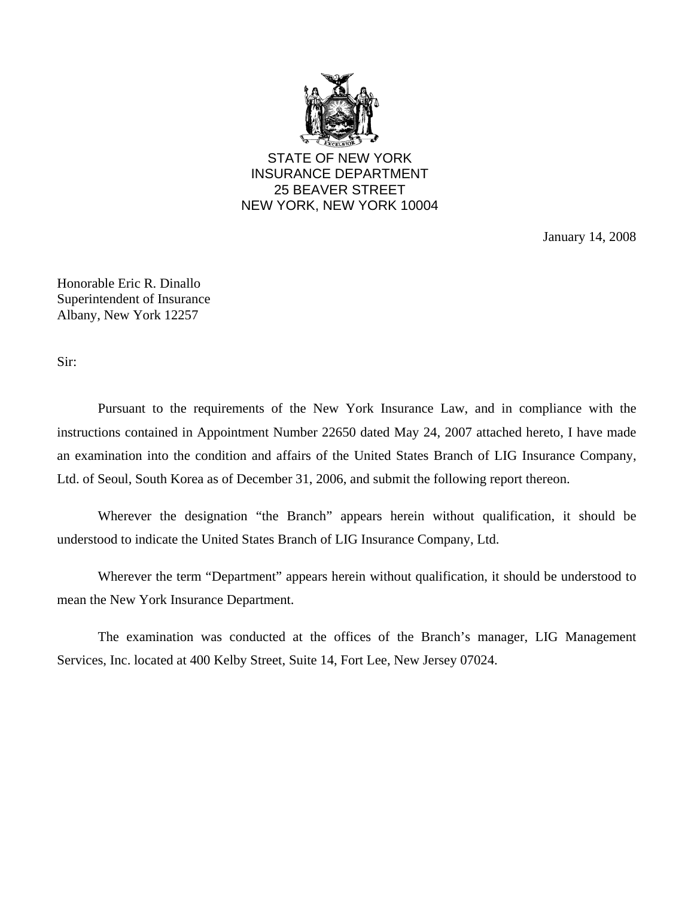

STATE OF NEW YORK INSURANCE DEPARTMENT 25 BEAVER STREET NEW YORK, NEW YORK 10004

January 14, 2008

Honorable Eric R. Dinallo Superintendent of Insurance Albany, New York 12257

Sir:

Pursuant to the requirements of the New York Insurance Law, and in compliance with the instructions contained in Appointment Number 22650 dated May 24, 2007 attached hereto, I have made an examination into the condition and affairs of the United States Branch of LIG Insurance Company, Ltd. of Seoul, South Korea as of December 31, 2006, and submit the following report thereon.

Wherever the designation "the Branch" appears herein without qualification, it should be understood to indicate the United States Branch of LIG Insurance Company, Ltd.

Wherever the term "Department" appears herein without qualification, it should be understood to mean the New York Insurance Department.

The examination was conducted at the offices of the Branch's manager, LIG Management Services, Inc. located at 400 Kelby Street, Suite 14, Fort Lee, New Jersey 07024.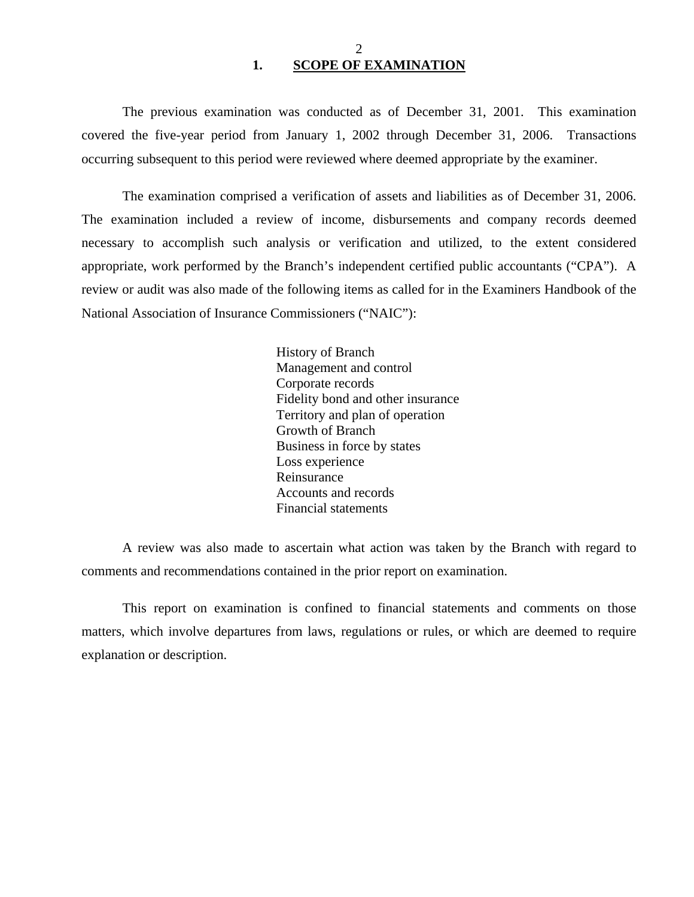<span id="page-3-0"></span>The previous examination was conducted as of December 31, 2001. This examination covered the five-year period from January 1, 2002 through December 31, 2006. Transactions occurring subsequent to this period were reviewed where deemed appropriate by the examiner.

The examination comprised a verification of assets and liabilities as of December 31, 2006. The examination included a review of income, disbursements and company records deemed necessary to accomplish such analysis or verification and utilized, to the extent considered appropriate, work performed by the Branch's independent certified public accountants ("CPA"). A review or audit was also made of the following items as called for in the Examiners Handbook of the National Association of Insurance Commissioners ("NAIC"):

> History of Branch Management and control Corporate records Fidelity bond and other insurance Territory and plan of operation Growth of Branch Business in force by states Loss experience Reinsurance Accounts and records Financial statements

A review was also made to ascertain what action was taken by the Branch with regard to comments and recommendations contained in the prior report on examination.

This report on examination is confined to financial statements and comments on those matters, which involve departures from laws, regulations or rules, or which are deemed to require explanation or description.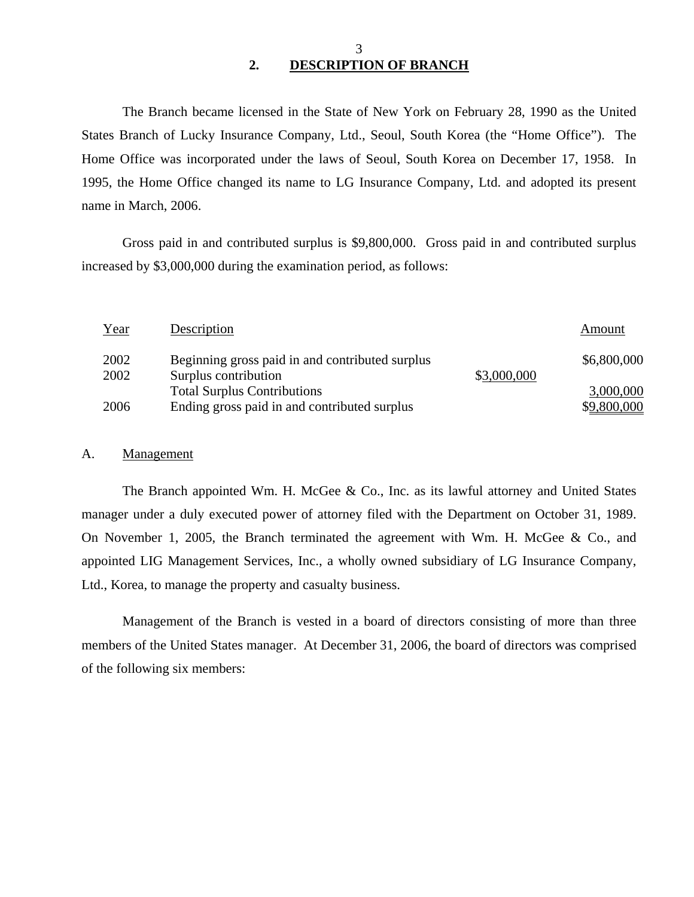## 3 **2. DESCRIPTION OF BRANCH**

The Branch became licensed in the State of New York on February 28, 1990 as the United States Branch of Lucky Insurance Company, Ltd., Seoul, South Korea (the "Home Office"). The Home Office was incorporated under the laws of Seoul, South Korea on December 17, 1958. In 1995, the Home Office changed its name to LG Insurance Company, Ltd. and adopted its present name in March, 2006.

Gross paid in and contributed surplus is \$9,800,000. Gross paid in and contributed surplus increased by \$3,000,000 during the examination period, as follows:

| Year | Description                                     |             | Amount      |
|------|-------------------------------------------------|-------------|-------------|
| 2002 | Beginning gross paid in and contributed surplus |             | \$6,800,000 |
| 2002 | Surplus contribution                            | \$3,000,000 |             |
|      | <b>Total Surplus Contributions</b>              |             | 3,000,000   |
| 2006 | Ending gross paid in and contributed surplus    |             | \$9,800,000 |

#### A. Management

The Branch appointed Wm. H. McGee & Co., Inc. as its lawful attorney and United States manager under a duly executed power of attorney filed with the Department on October 31, 1989. On November 1, 2005, the Branch terminated the agreement with Wm. H. McGee & Co., and appointed LIG Management Services, Inc., a wholly owned subsidiary of LG Insurance Company, Ltd., Korea, to manage the property and casualty business.

Management of the Branch is vested in a board of directors consisting of more than three members of the United States manager. At December 31, 2006, the board of directors was comprised of the following six members: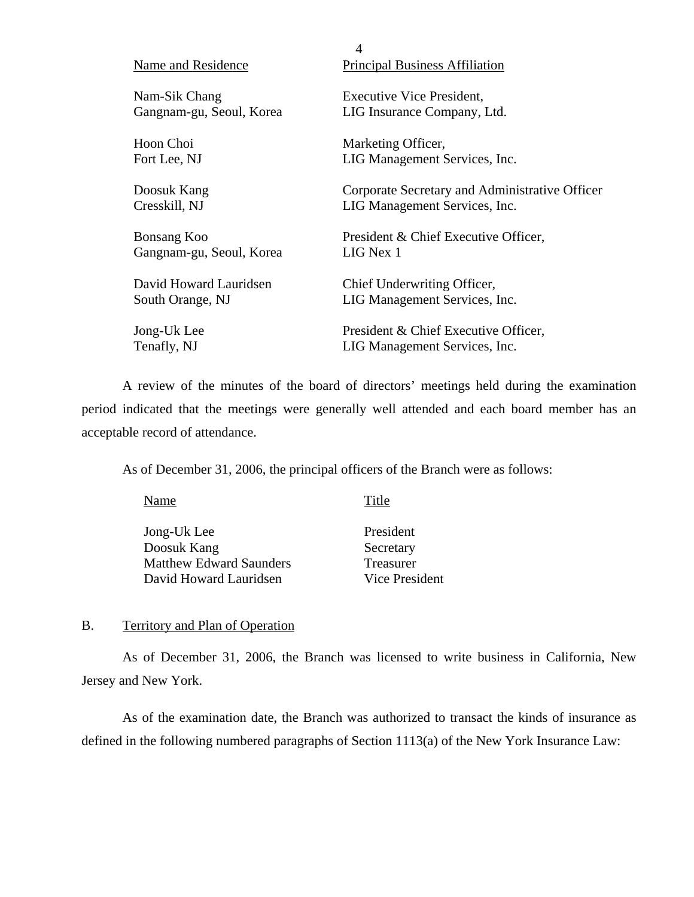|                          | $\overline{4}$                                 |
|--------------------------|------------------------------------------------|
| Name and Residence       | <b>Principal Business Affiliation</b>          |
| Nam-Sik Chang            | <b>Executive Vice President,</b>               |
| Gangnam-gu, Seoul, Korea | LIG Insurance Company, Ltd.                    |
| Hoon Choi                | Marketing Officer,                             |
| Fort Lee, NJ             | LIG Management Services, Inc.                  |
| Doosuk Kang              | Corporate Secretary and Administrative Officer |
| Cresskill, NJ            | LIG Management Services, Inc.                  |
| <b>Bonsang Koo</b>       | President & Chief Executive Officer,           |
| Gangnam-gu, Seoul, Korea | LIG Nex 1                                      |
| David Howard Lauridsen   | Chief Underwriting Officer,                    |
| South Orange, NJ         | LIG Management Services, Inc.                  |
| Jong-Uk Lee              | President & Chief Executive Officer,           |
| Tenafly, NJ              | LIG Management Services, Inc.                  |

A review of the minutes of the board of directors' meetings held during the examination period indicated that the meetings were generally well attended and each board member has an acceptable record of attendance.

As of December 31, 2006, the principal officers of the Branch were as follows:

| Name                           | Title          |
|--------------------------------|----------------|
| Jong-Uk Lee                    | President      |
| Doosuk Kang                    | Secretary      |
| <b>Matthew Edward Saunders</b> | Treasurer      |
| David Howard Lauridsen         | Vice President |

B. Territory and Plan of Operation

As of December 31, 2006, the Branch was licensed to write business in California, New Jersey and New York.

As of the examination date, the Branch was authorized to transact the kinds of insurance as defined in the following numbered paragraphs of Section 1113(a) of the New York Insurance Law: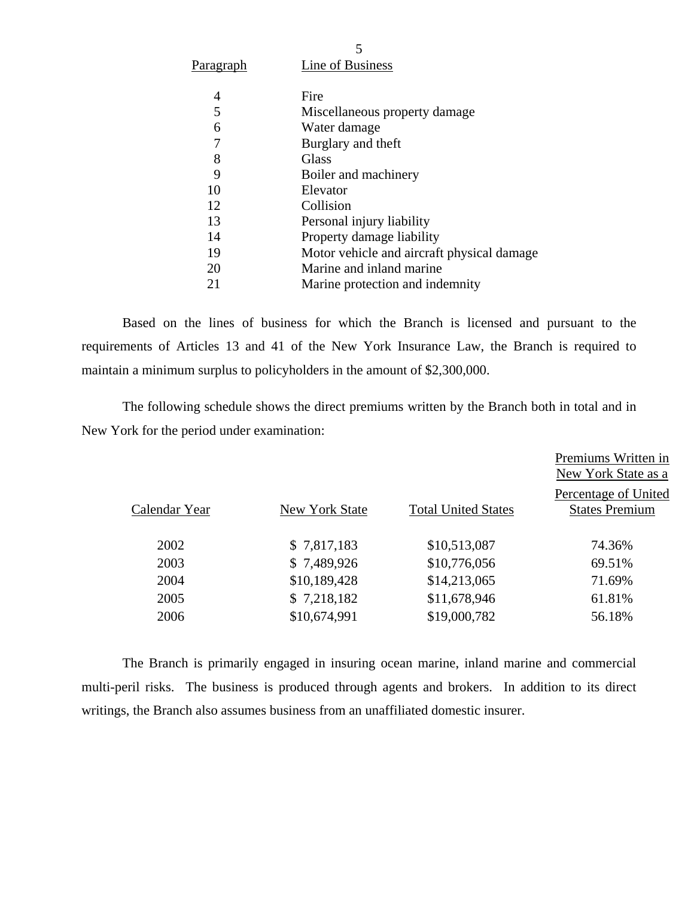| P <u>aragraph</u> | Line of Business                           |
|-------------------|--------------------------------------------|
| 4                 | Fire                                       |
| 5                 | Miscellaneous property damage              |
| 6                 | Water damage                               |
| 7                 | Burglary and theft                         |
| 8                 | <b>Glass</b>                               |
| 9                 | Boiler and machinery                       |
| 10                | Elevator                                   |
| 12                | Collision                                  |
| 13                | Personal injury liability                  |
| 14                | Property damage liability                  |
| 19                | Motor vehicle and aircraft physical damage |
| 20                | Marine and inland marine                   |
| 21                | Marine protection and indemnity            |

Based on the lines of business for which the Branch is licensed and pursuant to the requirements of Articles 13 and 41 of the New York Insurance Law, the Branch is required to maintain a minimum surplus to policyholders in the amount of \$2,300,000.

The following schedule shows the direct premiums written by the Branch both in total and in New York for the period under examination:

|               |                |                            | Premiums Written in<br>New York State as a    |
|---------------|----------------|----------------------------|-----------------------------------------------|
| Calendar Year | New York State | <b>Total United States</b> | Percentage of United<br><b>States Premium</b> |
| 2002          | \$7,817,183    | \$10,513,087               | 74.36%                                        |
| 2003          | \$7,489,926    | \$10,776,056               | 69.51%                                        |
| 2004          | \$10,189,428   | \$14,213,065               | 71.69%                                        |
| 2005          | \$7,218,182    | \$11,678,946               | 61.81%                                        |
| 2006          | \$10,674,991   | \$19,000,782               | 56.18%                                        |
|               |                |                            |                                               |

The Branch is primarily engaged in insuring ocean marine, inland marine and commercial multi-peril risks. The business is produced through agents and brokers. In addition to its direct writings, the Branch also assumes business from an unaffiliated domestic insurer.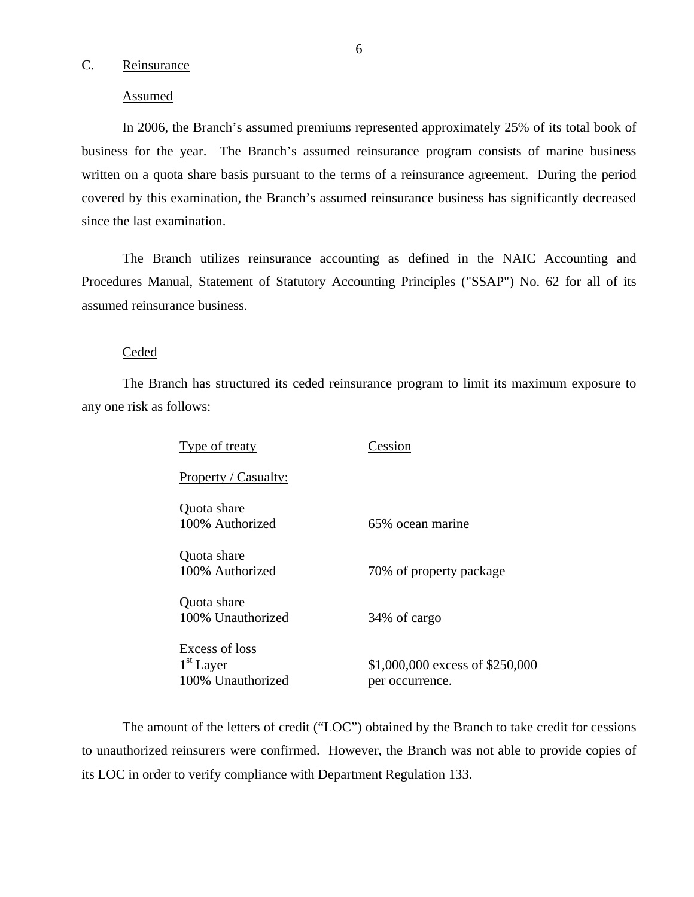## <span id="page-7-0"></span>C. Reinsurance

#### Assumed

In 2006, the Branch's assumed premiums represented approximately 25% of its total book of business for the year. The Branch's assumed reinsurance program consists of marine business written on a quota share basis pursuant to the terms of a reinsurance agreement. During the period covered by this examination, the Branch's assumed reinsurance business has significantly decreased since the last examination.

The Branch utilizes reinsurance accounting as defined in the NAIC Accounting and Procedures Manual, Statement of Statutory Accounting Principles ("SSAP") No. 62 for all of its assumed reinsurance business.

#### **Ceded**

The Branch has structured its ceded reinsurance program to limit its maximum exposure to any one risk as follows:

| Type of treaty                                     | Cession                                            |
|----------------------------------------------------|----------------------------------------------------|
| Property / Casualty:                               |                                                    |
| Quota share<br>100% Authorized                     | 65% ocean marine                                   |
| Quota share<br>100% Authorized                     | 70% of property package                            |
| Quota share<br>100% Unauthorized                   | 34% of cargo                                       |
| Excess of loss<br>$1st$ Layer<br>100% Unauthorized | \$1,000,000 excess of \$250,000<br>per occurrence. |

The amount of the letters of credit ("LOC") obtained by the Branch to take credit for cessions to unauthorized reinsurers were confirmed. However, the Branch was not able to provide copies of its LOC in order to verify compliance with Department Regulation 133.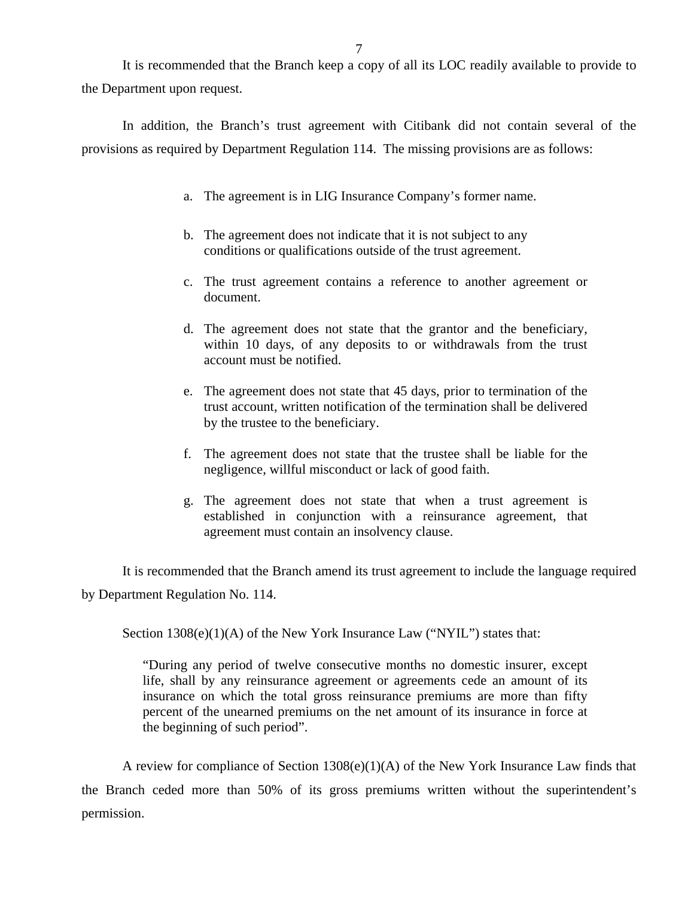It is recommended that the Branch keep a copy of all its LOC readily available to provide to the Department upon request.

In addition, the Branch's trust agreement with Citibank did not contain several of the provisions as required by Department Regulation 114. The missing provisions are as follows:

- a. The agreement is in LIG Insurance Company's former name.
- b. The agreement does not indicate that it is not subject to any conditions or qualifications outside of the trust agreement.
- c. The trust agreement contains a reference to another agreement or document.
- d. The agreement does not state that the grantor and the beneficiary, within 10 days, of any deposits to or withdrawals from the trust account must be notified.
- e. The agreement does not state that 45 days, prior to termination of the trust account, written notification of the termination shall be delivered by the trustee to the beneficiary.
- f. The agreement does not state that the trustee shall be liable for the negligence, willful misconduct or lack of good faith.
- g. The agreement does not state that when a trust agreement is established in conjunction with a reinsurance agreement, that agreement must contain an insolvency clause.

It is recommended that the Branch amend its trust agreement to include the language required by Department Regulation No. 114.

Section 1308(e)(1)(A) of the New York Insurance Law ("NYIL") states that:

"During any period of twelve consecutive months no domestic insurer, except life, shall by any reinsurance agreement or agreements cede an amount of its insurance on which the total gross reinsurance premiums are more than fifty percent of the unearned premiums on the net amount of its insurance in force at the beginning of such period".

A review for compliance of Section 1308(e)(1)(A) of the New York Insurance Law finds that the Branch ceded more than 50% of its gross premiums written without the superintendent's permission.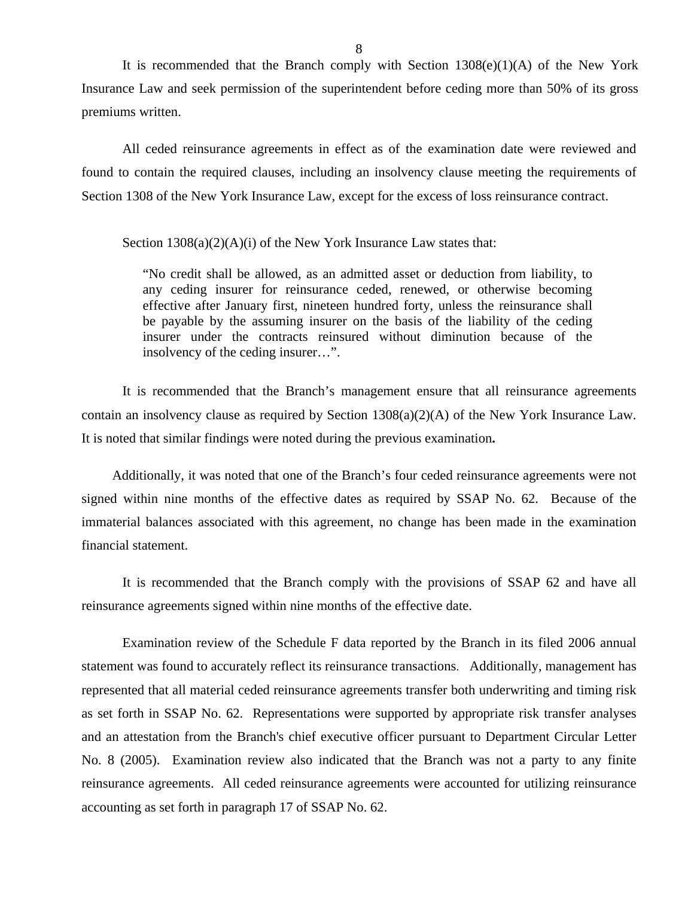It is recommended that the Branch comply with Section  $1308(e)(1)(A)$  of the New York Insurance Law and seek permission of the superintendent before ceding more than 50% of its gross premiums written.

All ceded reinsurance agreements in effect as of the examination date were reviewed and found to contain the required clauses, including an insolvency clause meeting the requirements of Section 1308 of the New York Insurance Law, except for the excess of loss reinsurance contract.

Section  $1308(a)(2)(A)(i)$  of the New York Insurance Law states that:

"No credit shall be allowed, as an admitted asset or deduction from liability, to any ceding insurer for reinsurance ceded, renewed, or otherwise becoming effective after January first, nineteen hundred forty, unless the reinsurance shall be payable by the assuming insurer on the basis of the liability of the ceding insurer under the contracts reinsured without diminution because of the insolvency of the ceding insurer…".

It is recommended that the Branch's management ensure that all reinsurance agreements contain an insolvency clause as required by Section 1308(a)(2)(A) of the New York Insurance Law. It is noted that similar findings were noted during the previous examination**.** 

Additionally, it was noted that one of the Branch's four ceded reinsurance agreements were not signed within nine months of the effective dates as required by SSAP No. 62. Because of the immaterial balances associated with this agreement, no change has been made in the examination financial statement.

It is recommended that the Branch comply with the provisions of SSAP 62 and have all reinsurance agreements signed within nine months of the effective date.

Examination review of the Schedule F data reported by the Branch in its filed 2006 annual statement was found to accurately reflect its reinsurance transactions. Additionally, management has represented that all material ceded reinsurance agreements transfer both underwriting and timing risk as set forth in SSAP No. 62. Representations were supported by appropriate risk transfer analyses and an attestation from the Branch's chief executive officer pursuant to Department Circular Letter No. 8 (2005). Examination review also indicated that the Branch was not a party to any finite reinsurance agreements. All ceded reinsurance agreements were accounted for utilizing reinsurance accounting as set forth in paragraph 17 of SSAP No. 62.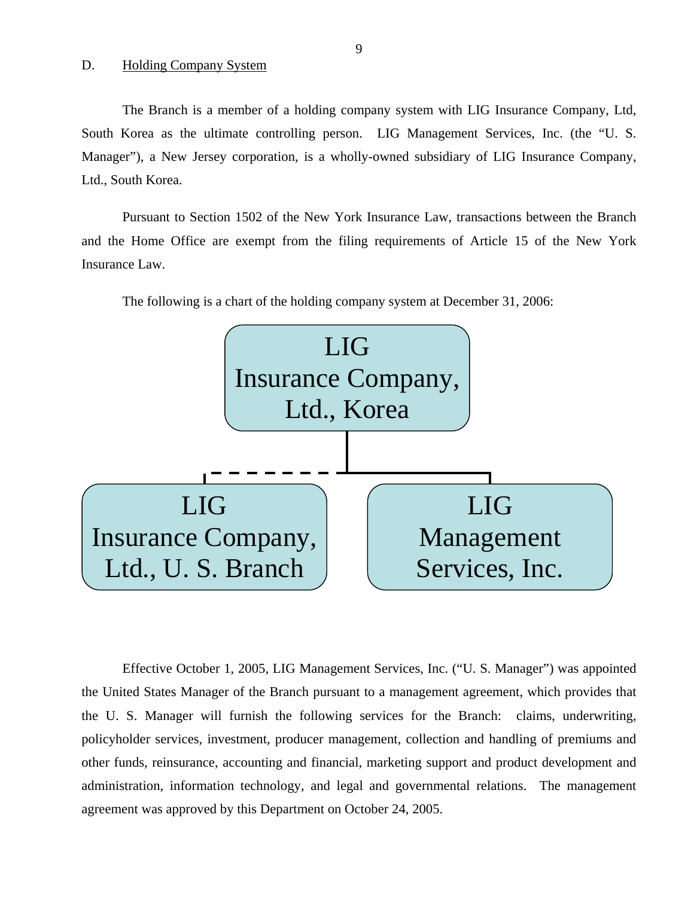#### <span id="page-10-0"></span>D. Holding Company System

The Branch is a member of a holding company system with LIG Insurance Company, Ltd, South Korea as the ultimate controlling person. LIG Management Services, Inc. (the "U. S. Manager"), a New Jersey corporation, is a wholly-owned subsidiary of LIG Insurance Company, Ltd., South Korea.

Pursuant to Section 1502 of the New York Insurance Law, transactions between the Branch and the Home Office are exempt from the filing requirements of Article 15 of the New York Insurance Law.



The following is a chart of the holding company system at December 31, 2006:

Effective October 1, 2005, LIG Management Services, Inc. ("U. S. Manager") was appointed the United States Manager of the Branch pursuant to a management agreement, which provides that the U. S. Manager will furnish the following services for the Branch: claims, underwriting, policyholder services, investment, producer management, collection and handling of premiums and other funds, reinsurance, accounting and financial, marketing support and product development and administration, information technology, and legal and governmental relations. The management agreement was approved by this Department on October 24, 2005.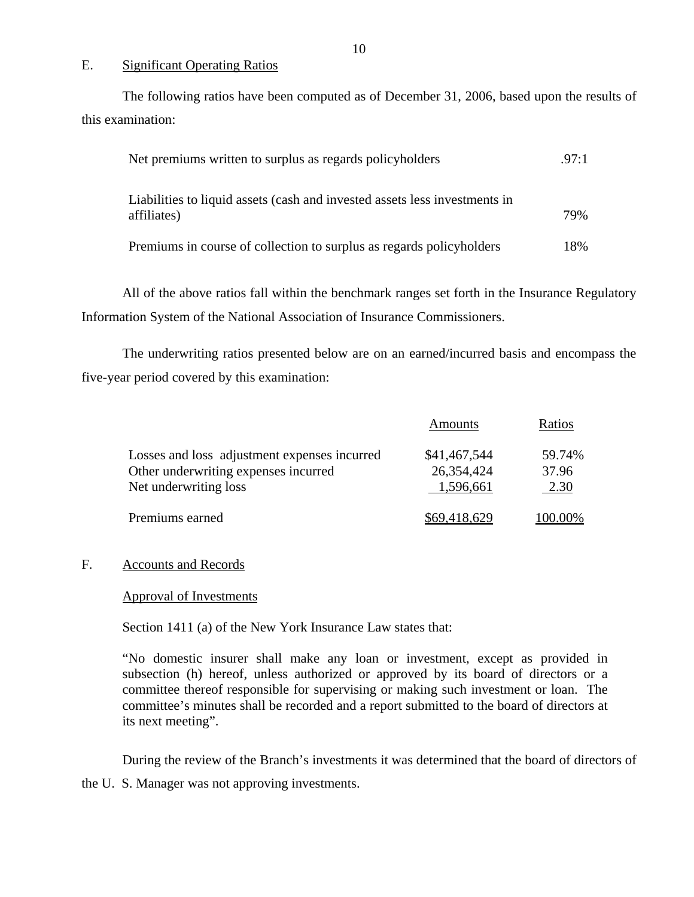#### E. Significant Operating Ratios

The following ratios have been computed as of December 31, 2006, based upon the results of this examination:

| Net premiums written to surplus as regards policyholders                                  | .97:1 |
|-------------------------------------------------------------------------------------------|-------|
| Liabilities to liquid assets (cash and invested assets less investments in<br>affiliates) | 79%   |
| Premiums in course of collection to surplus as regards policyholders                      | 18%   |

All of the above ratios fall within the benchmark ranges set forth in the Insurance Regulatory Information System of the National Association of Insurance Commissioners.

The underwriting ratios presented below are on an earned/incurred basis and encompass the five-year period covered by this examination:

|                                              | Amounts      | Ratios         |
|----------------------------------------------|--------------|----------------|
| Losses and loss adjustment expenses incurred | \$41,467,544 | 59.74%         |
| Other underwriting expenses incurred         | 26,354,424   | 37.96          |
| Net underwriting loss                        | 1,596,661    | 2.30           |
| Premiums earned                              | \$69,418,629 | <u>100.00%</u> |

#### F. Accounts and Records

#### Approval of Investments

Section 1411 (a) of the New York Insurance Law states that:

"No domestic insurer shall make any loan or investment, except as provided in subsection (h) hereof, unless authorized or approved by its board of directors or a committee thereof responsible for supervising or making such investment or loan. The committee's minutes shall be recorded and a report submitted to the board of directors at its next meeting".

During the review of the Branch's investments it was determined that the board of directors of

the U. S. Manager was not approving investments.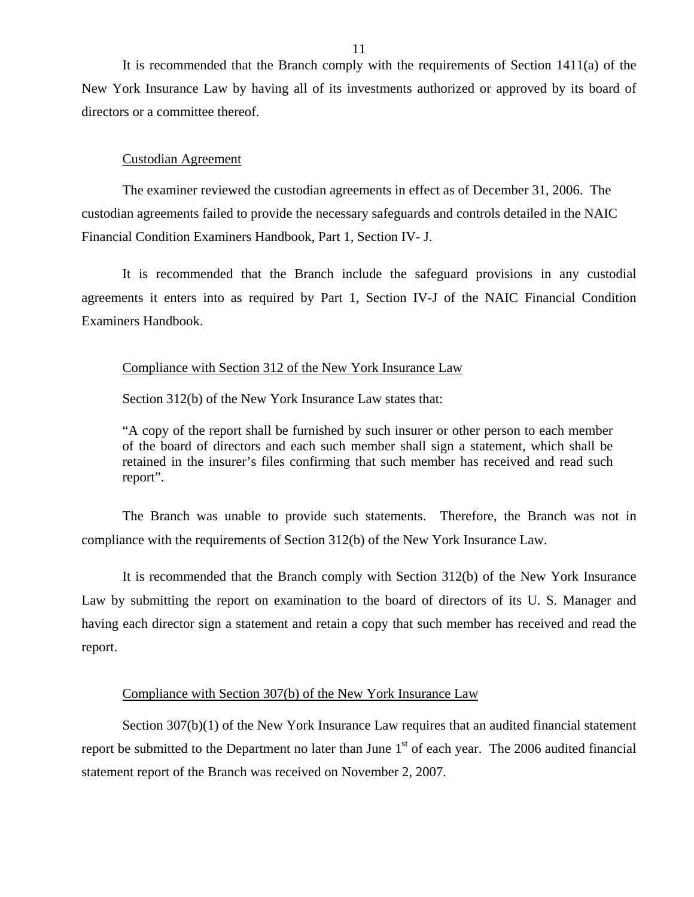It is recommended that the Branch comply with the requirements of Section 1411(a) of the New York Insurance Law by having all of its investments authorized or approved by its board of directors or a committee thereof.

#### Custodian Agreement

The examiner reviewed the custodian agreements in effect as of December 31, 2006. The custodian agreements failed to provide the necessary safeguards and controls detailed in the NAIC Financial Condition Examiners Handbook, Part 1, Section IV- J.

It is recommended that the Branch include the safeguard provisions in any custodial agreements it enters into as required by Part 1, Section IV-J of the NAIC Financial Condition Examiners Handbook.

#### Compliance with Section 312 of the New York Insurance Law

Section 312(b) of the New York Insurance Law states that:

"A copy of the report shall be furnished by such insurer or other person to each member of the board of directors and each such member shall sign a statement, which shall be retained in the insurer's files confirming that such member has received and read such report".

The Branch was unable to provide such statements. Therefore, the Branch was not in compliance with the requirements of Section 312(b) of the New York Insurance Law.

It is recommended that the Branch comply with Section 312(b) of the New York Insurance Law by submitting the report on examination to the board of directors of its U. S. Manager and having each director sign a statement and retain a copy that such member has received and read the report.

#### Compliance with Section 307(b) of the New York Insurance Law

Section 307(b)(1) of the New York Insurance Law requires that an audited financial statement report be submitted to the Department no later than June  $1<sup>st</sup>$  of each year. The 2006 audited financial statement report of the Branch was received on November 2, 2007.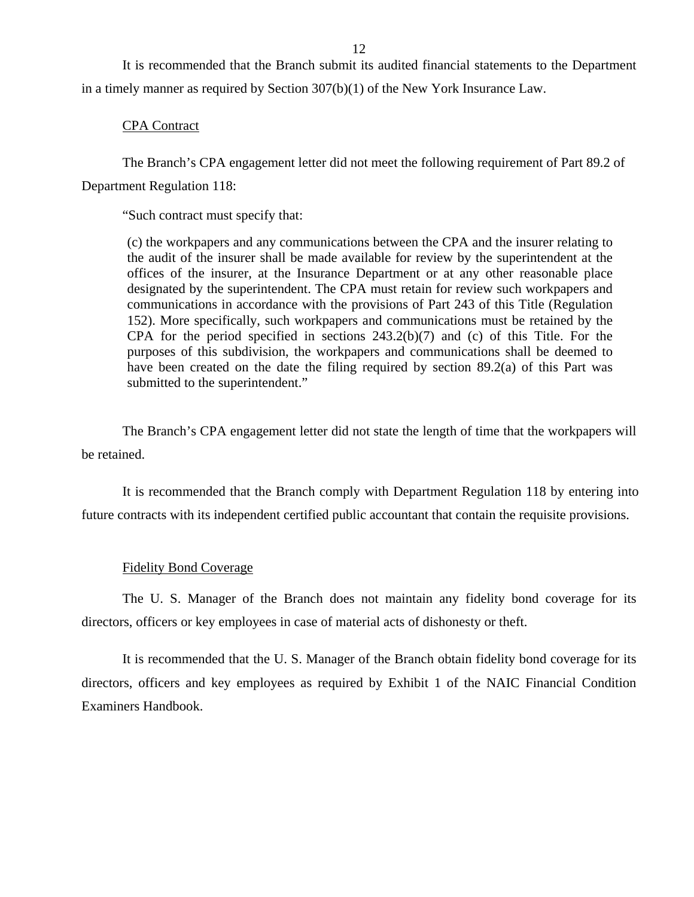It is recommended that the Branch submit its audited financial statements to the Department in a timely manner as required by Section 307(b)(1) of the New York Insurance Law.

#### CPA Contract

The Branch's CPA engagement letter did not meet the following requirement of Part 89.2 of Department Regulation 118:

"Such contract must specify that:

(c) the workpapers and any communications between the CPA and the insurer relating to the audit of the insurer shall be made available for review by the superintendent at the offices of the insurer, at the Insurance Department or at any other reasonable place designated by the superintendent. The CPA must retain for review such workpapers and communications in accordance with the provisions of Part 243 of this Title (Regulation 152). More specifically, such workpapers and communications must be retained by the CPA for the period specified in sections 243.2(b)(7) and (c) of this Title. For the purposes of this subdivision, the workpapers and communications shall be deemed to have been created on the date the filing required by section 89.2(a) of this Part was submitted to the superintendent."

The Branch's CPA engagement letter did not state the length of time that the workpapers will be retained.

It is recommended that the Branch comply with Department Regulation 118 by entering into future contracts with its independent certified public accountant that contain the requisite provisions.

#### Fidelity Bond Coverage

The U. S. Manager of the Branch does not maintain any fidelity bond coverage for its directors, officers or key employees in case of material acts of dishonesty or theft.

It is recommended that the U. S. Manager of the Branch obtain fidelity bond coverage for its directors, officers and key employees as required by Exhibit 1 of the NAIC Financial Condition Examiners Handbook.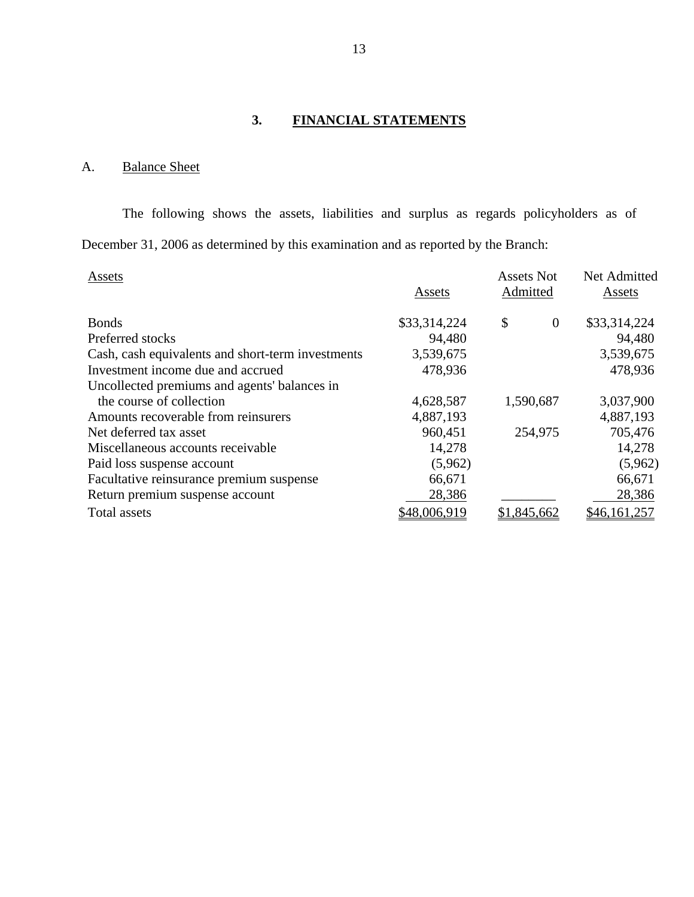# **3. FINANCIAL STATEMENTS**

# <span id="page-14-0"></span>A. Balance Sheet

The following shows the assets, liabilities and surplus as regards policyholders as of December 31, 2006 as determined by this examination and as reported by the Branch:

| Assets                                            |              | <b>Assets Not</b> | Net Admitted |
|---------------------------------------------------|--------------|-------------------|--------------|
|                                                   | Assets       | Admitted          | Assets       |
|                                                   |              |                   |              |
| <b>Bonds</b>                                      | \$33,314,224 | \$<br>$\theta$    | \$33,314,224 |
| Preferred stocks                                  | 94,480       |                   | 94,480       |
| Cash, cash equivalents and short-term investments | 3,539,675    |                   | 3,539,675    |
| Investment income due and accrued                 | 478,936      |                   | 478,936      |
| Uncollected premiums and agents' balances in      |              |                   |              |
| the course of collection                          | 4,628,587    | 1,590,687         | 3,037,900    |
| Amounts recoverable from reinsurers               | 4,887,193    |                   | 4,887,193    |
| Net deferred tax asset                            | 960,451      | 254,975           | 705,476      |
| Miscellaneous accounts receivable                 | 14,278       |                   | 14,278       |
| Paid loss suspense account                        | (5,962)      |                   | (5,962)      |
| Facultative reinsurance premium suspense          | 66,671       |                   | 66,671       |
| Return premium suspense account                   | 28,386       |                   | 28,386       |
| Total assets                                      | \$48,006,919 | \$1,845,662       | \$46,161,257 |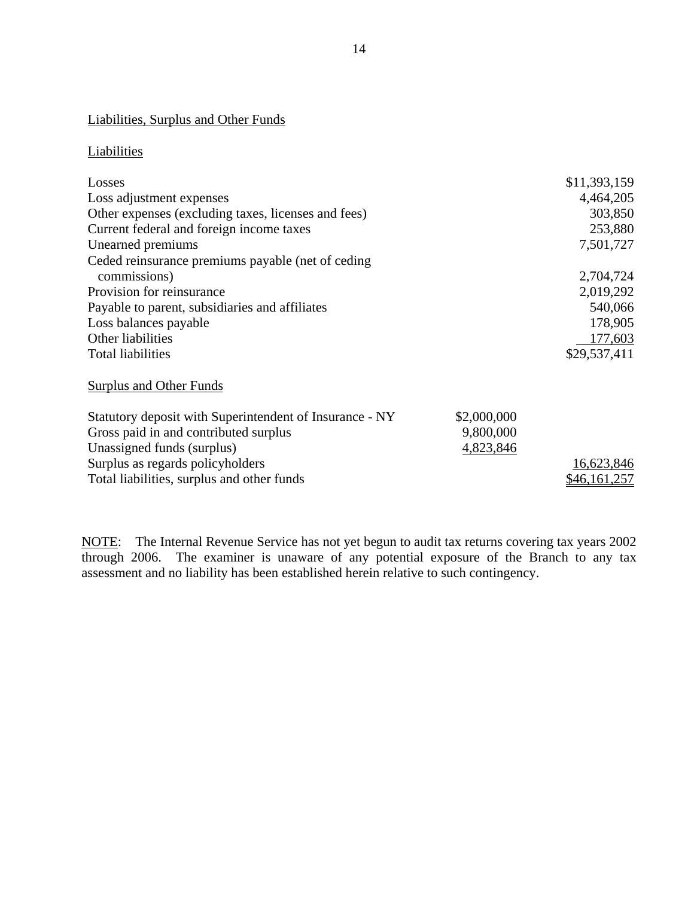#### Liabilities, Surplus and Other Funds

# Liabilities

| <b>Liabilities, Surplus and Other Funds</b>             |             |              |
|---------------------------------------------------------|-------------|--------------|
| Liabilities                                             |             |              |
| Losses                                                  |             | \$11,393,159 |
| Loss adjustment expenses                                |             | 4,464,205    |
| Other expenses (excluding taxes, licenses and fees)     |             | 303,850      |
| Current federal and foreign income taxes                |             | 253,880      |
| Unearned premiums                                       |             | 7,501,727    |
| Ceded reinsurance premiums payable (net of ceding       |             |              |
| commissions)                                            |             | 2,704,724    |
| Provision for reinsurance                               |             | 2,019,292    |
| Payable to parent, subsidiaries and affiliates          |             | 540,066      |
| Loss balances payable                                   |             | 178,905      |
| Other liabilities                                       |             | 177,603      |
| <b>Total liabilities</b>                                |             | \$29,537,411 |
| <b>Surplus and Other Funds</b>                          |             |              |
| Statutory deposit with Superintendent of Insurance - NY | \$2,000,000 |              |
| Gross paid in and contributed surplus                   | 9,800,000   |              |
| Unassigned funds (surplus)                              | 4,823,846   |              |
| Surplus as regards policyholders                        |             | 16,623,846   |
| Total liabilities, surplus and other funds              |             | \$46,161,257 |

NOTE: The Internal Revenue Service has not yet begun to audit tax returns covering tax years 2002 through 2006. The examiner is unaware of any potential exposure of the Branch to any tax assessment and no liability has been established herein relative to such contingency.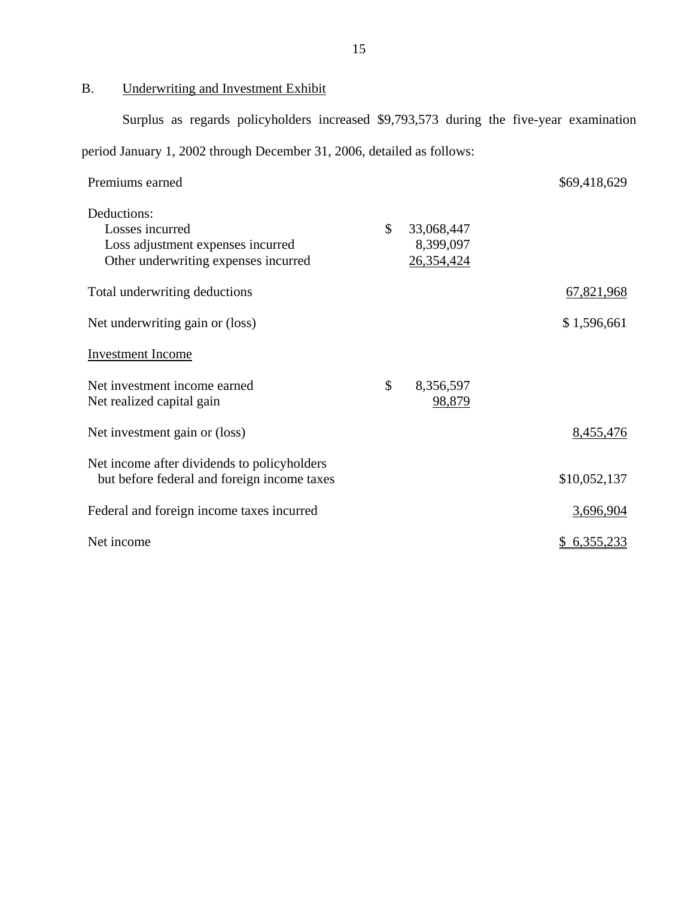B. Underwriting and Investment Exhibit

Surplus as regards policyholders increased \$9,793,573 during the five-year examination

period January 1, 2002 through December 31, 2006, detailed as follows:

| Premiums earned                                                                                             |                                             | \$69,418,629 |
|-------------------------------------------------------------------------------------------------------------|---------------------------------------------|--------------|
| Deductions:<br>Losses incurred<br>Loss adjustment expenses incurred<br>Other underwriting expenses incurred | \$<br>33,068,447<br>8,399,097<br>26,354,424 |              |
| Total underwriting deductions                                                                               |                                             | 67,821,968   |
| Net underwriting gain or (loss)                                                                             |                                             | \$1,596,661  |
| <b>Investment Income</b>                                                                                    |                                             |              |
| Net investment income earned<br>Net realized capital gain                                                   | \$<br>8,356,597<br>98,879                   |              |
| Net investment gain or (loss)                                                                               |                                             | 8,455,476    |
| Net income after dividends to policyholders<br>but before federal and foreign income taxes                  |                                             | \$10,052,137 |
| Federal and foreign income taxes incurred                                                                   |                                             | 3,696,904    |
| Net income                                                                                                  |                                             | \$6,355,233  |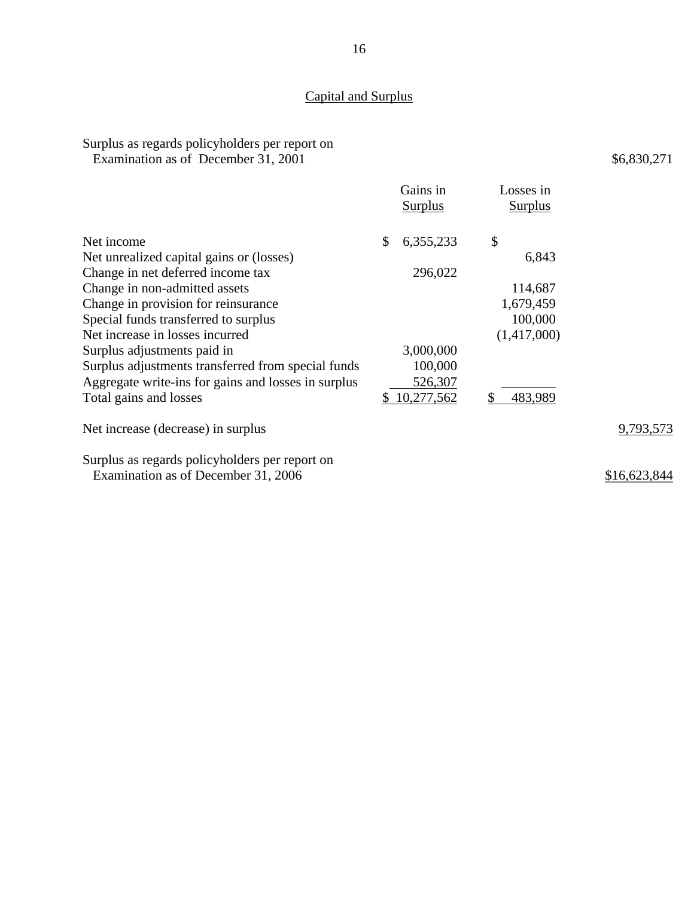# Capital and Surplus

# Surplus as regards policyholders per report on

Examination as of December 31, 2001

|                                                                                       | Gains in<br><b>Surplus</b> | Losses in<br><b>Surplus</b> |
|---------------------------------------------------------------------------------------|----------------------------|-----------------------------|
| Net income                                                                            | \$<br>6,355,233            | $\boldsymbol{\mathsf{S}}$   |
| Net unrealized capital gains or (losses)                                              |                            | 6,843                       |
| Change in net deferred income tax                                                     | 296,022                    |                             |
| Change in non-admitted assets                                                         |                            | 114,687                     |
| Change in provision for reinsurance                                                   |                            | 1,679,459                   |
| Special funds transferred to surplus                                                  |                            | 100,000                     |
| Net increase in losses incurred                                                       |                            | (1,417,000)                 |
| Surplus adjustments paid in                                                           | 3,000,000                  |                             |
| Surplus adjustments transferred from special funds                                    | 100,000                    |                             |
| Aggregate write-ins for gains and losses in surplus                                   | 526,307                    |                             |
| Total gains and losses                                                                | 10,277,562<br>\$           | 483,989                     |
| Net increase (decrease) in surplus                                                    |                            |                             |
| Surplus as regards policyholders per report on<br>Examination as of December 31, 2006 |                            |                             |

9,793,573

\$6,830,271

\$16,623,844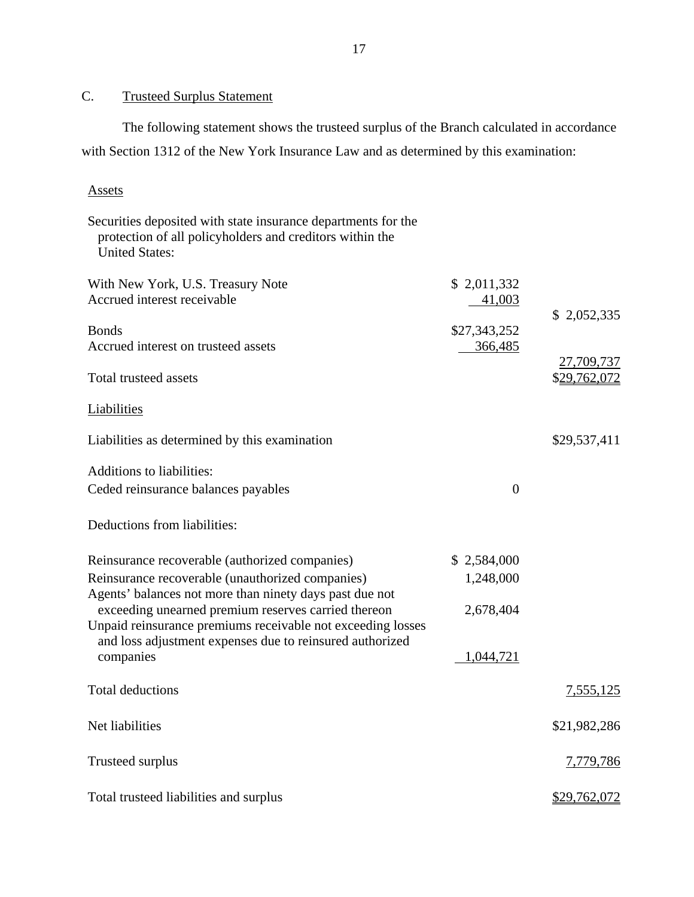# C. Trusteed Surplus Statement

The following statement shows the trusteed surplus of the Branch calculated in accordance with Section 1312 of the New York Insurance Law and as determined by this examination:

#### Assets

| Securities deposited with state insurance departments for the<br>protection of all policyholders and creditors within the<br><b>United States:</b> |                       |              |
|----------------------------------------------------------------------------------------------------------------------------------------------------|-----------------------|--------------|
| With New York, U.S. Treasury Note<br>Accrued interest receivable                                                                                   | \$2,011,332<br>41,003 | \$2,052,335  |
| <b>Bonds</b>                                                                                                                                       | \$27,343,252          |              |
| Accrued interest on trusteed assets                                                                                                                | 366,485               | 27,709,737   |
| Total trusteed assets                                                                                                                              |                       | \$29,762,072 |
| <b>Liabilities</b>                                                                                                                                 |                       |              |
| Liabilities as determined by this examination                                                                                                      |                       | \$29,537,411 |
| <b>Additions to liabilities:</b>                                                                                                                   |                       |              |
| Ceded reinsurance balances payables                                                                                                                | $\overline{0}$        |              |
| Deductions from liabilities:                                                                                                                       |                       |              |
| Reinsurance recoverable (authorized companies)                                                                                                     | \$2,584,000           |              |
| Reinsurance recoverable (unauthorized companies)                                                                                                   | 1,248,000             |              |
| Agents' balances not more than ninety days past due not<br>exceeding unearned premium reserves carried thereon                                     | 2,678,404             |              |
| Unpaid reinsurance premiums receivable not exceeding losses                                                                                        |                       |              |
| and loss adjustment expenses due to reinsured authorized<br>companies                                                                              | 1,044,721             |              |
| <b>Total deductions</b>                                                                                                                            |                       | 7,555,125    |
| Net liabilities                                                                                                                                    |                       | \$21,982,286 |
| <b>Trusteed surplus</b>                                                                                                                            |                       | 7,779,786    |
| Total trusteed liabilities and surplus                                                                                                             |                       | \$29,762,072 |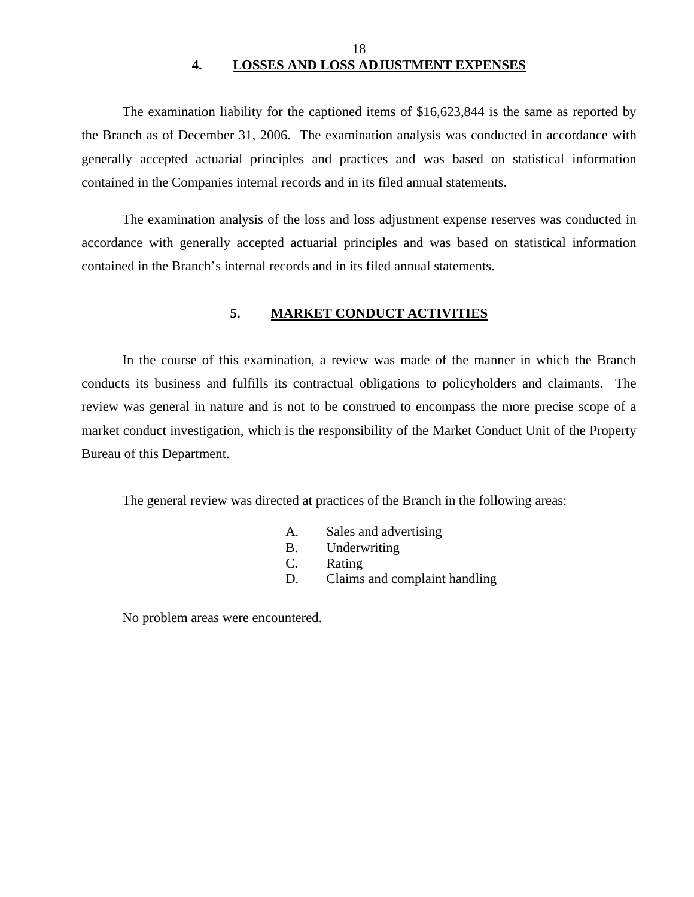# 18 **4. LOSSES AND LOSS ADJUSTMENT EXPENSES**

<span id="page-19-0"></span>The examination liability for the captioned items of \$16,623,844 is the same as reported by the Branch as of December 31, 2006. The examination analysis was conducted in accordance with generally accepted actuarial principles and practices and was based on statistical information contained in the Companies internal records and in its filed annual statements.

The examination analysis of the loss and loss adjustment expense reserves was conducted in accordance with generally accepted actuarial principles and was based on statistical information contained in the Branch's internal records and in its filed annual statements.

#### **5. MARKET CONDUCT ACTIVITIES**

In the course of this examination, a review was made of the manner in which the Branch conducts its business and fulfills its contractual obligations to policyholders and claimants. The review was general in nature and is not to be construed to encompass the more precise scope of a market conduct investigation, which is the responsibility of the Market Conduct Unit of the Property Bureau of this Department.

The general review was directed at practices of the Branch in the following areas:

- A. Sales and advertising
- B. Underwriting
- C. Rating
- D. Claims and complaint handling

No problem areas were encountered.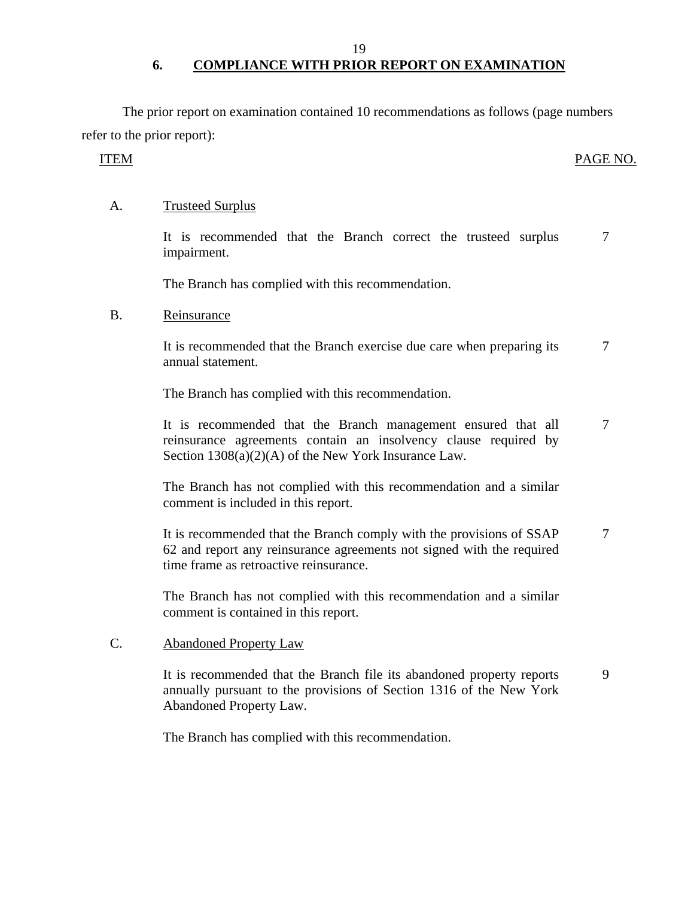19

# **6. COMPLIANCE WITH PRIOR REPORT ON EXAMINATION**

The prior report on examination contained 10 recommendations as follows (page numbers refer to the prior report):

# ITEM PAGE NO.

# A. Trusteed Surplus

It is recommended that the Branch correct the trusteed surplus impairment. 7

The Branch has complied with this recommendation.

## B. Reinsurance

It is recommended that the Branch exercise due care when preparing its annual statement. 7

The Branch has complied with this recommendation.

It is recommended that the Branch management ensured that all reinsurance agreements contain an insolvency clause required by Section 1308(a)(2)(A) of the New York Insurance Law. 7

The Branch has not complied with this recommendation and a similar comment is included in this report.

It is recommended that the Branch comply with the provisions of SSAP 62 and report any reinsurance agreements not signed with the required time frame as retroactive reinsurance. 7

The Branch has not complied with this recommendation and a similar comment is contained in this report.

## C. Abandoned Property Law

It is recommended that the Branch file its abandoned property reports annually pursuant to the provisions of Section 1316 of the New York Abandoned Property Law. 9

The Branch has complied with this recommendation.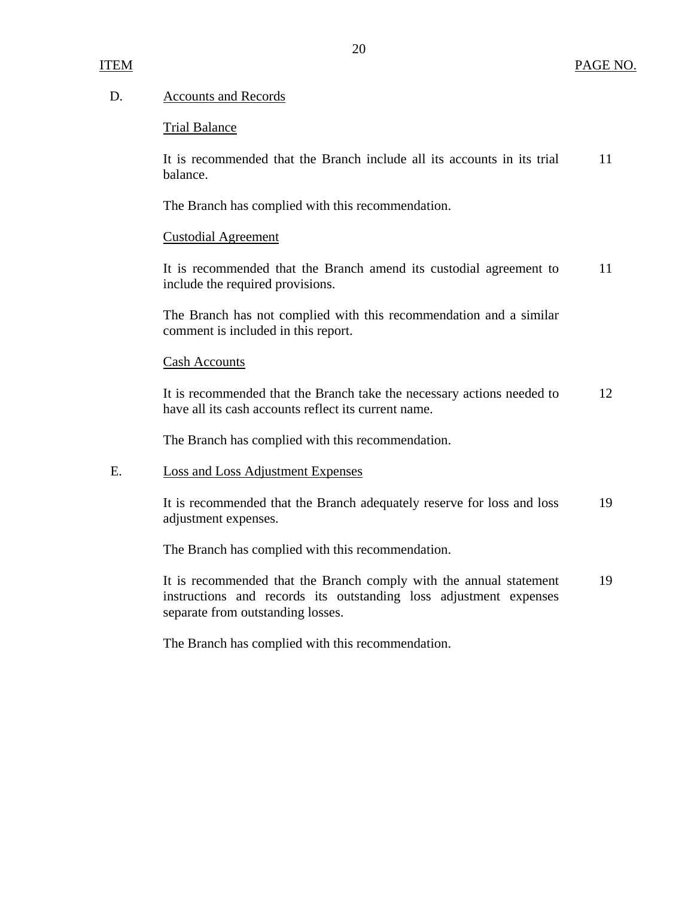#### D. Accounts and Records

#### Trial Balance

It is recommended that the Branch include all its accounts in its trial 11 balance.

The Branch has complied with this recommendation.

#### Custodial Agreement

It is recommended that the Branch amend its custodial agreement to 11 include the required provisions.

The Branch has not complied with this recommendation and a similar comment is included in this report.

#### Cash Accounts

It is recommended that the Branch take the necessary actions needed to 12 have all its cash accounts reflect its current name.

The Branch has complied with this recommendation.

#### E. Loss and Loss Adjustment Expenses

It is recommended that the Branch adequately reserve for loss and loss 19 adjustment expenses.

The Branch has complied with this recommendation.

It is recommended that the Branch comply with the annual statement 19 instructions and records its outstanding loss adjustment expenses separate from outstanding losses.

The Branch has complied with this recommendation.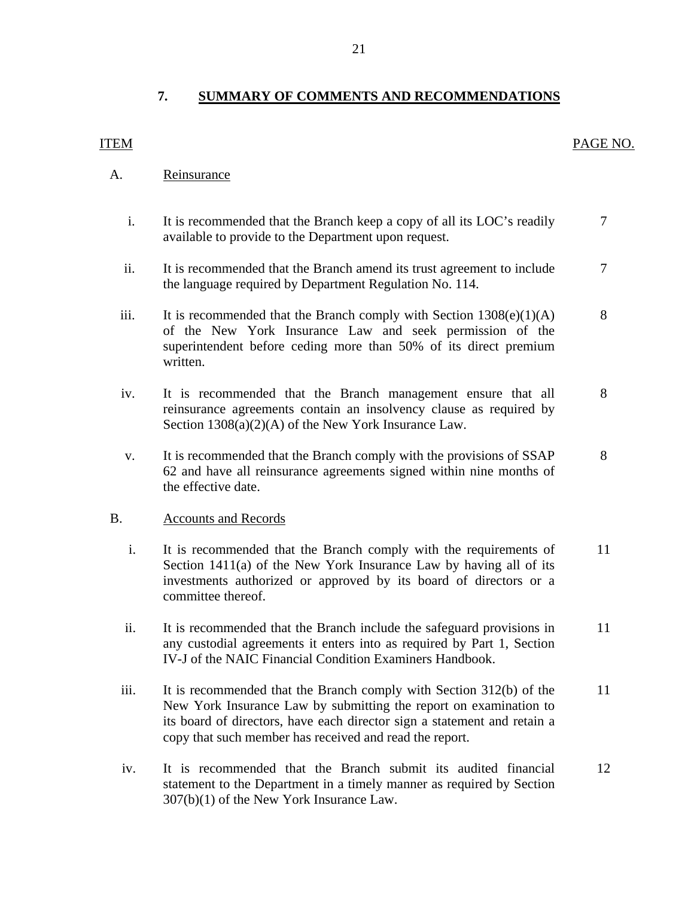# <span id="page-22-0"></span>**7. SUMMARY OF COMMENTS AND RECOMMENDATIONS**

#### A. Reinsurance

- i. It is recommended that the Branch keep a copy of all its LOC's readily  $\overline{7}$ available to provide to the Department upon request.
- ii. It is recommended that the Branch amend its trust agreement to include  $\overline{7}$ the language required by Department Regulation No. 114.
- iii. It is recommended that the Branch comply with Section  $1308(e)(1)(A)$  8 of the New York Insurance Law and seek permission of the superintendent before ceding more than 50% of its direct premium written.
- iv. It is recommended that the Branch management ensure that all all 8 reinsurance agreements contain an insolvency clause as required by Section 1308(a)(2)(A) of the New York Insurance Law.
- v. It is recommended that the Branch comply with the provisions of SSAP 8 62 and have all reinsurance agreements signed within nine months of the effective date.

#### **Accounts and Records**

- B. Accounts and Records<br>i. It is recommended that the Branch comply with the requirements of 11 Section 1411(a) of the New York Insurance Law by having all of its investments authorized or approved by its board of directors or a committee thereof.
	- ii. It is recommended that the Branch include the safeguard provisions in 11 any custodial agreements it enters into as required by Part 1, Section IV-J of the NAIC Financial Condition Examiners Handbook.
	- iii. It is recommended that the Branch comply with Section 312(b) of the 11 New York Insurance Law by submitting the report on examination to its board of directors, have each director sign a statement and retain a copy that such member has received and read the report.
	- iv. It is recommended that the Branch submit its audited financial 12 statement to the Department in a timely manner as required by Section 307(b)(1) of the New York Insurance Law.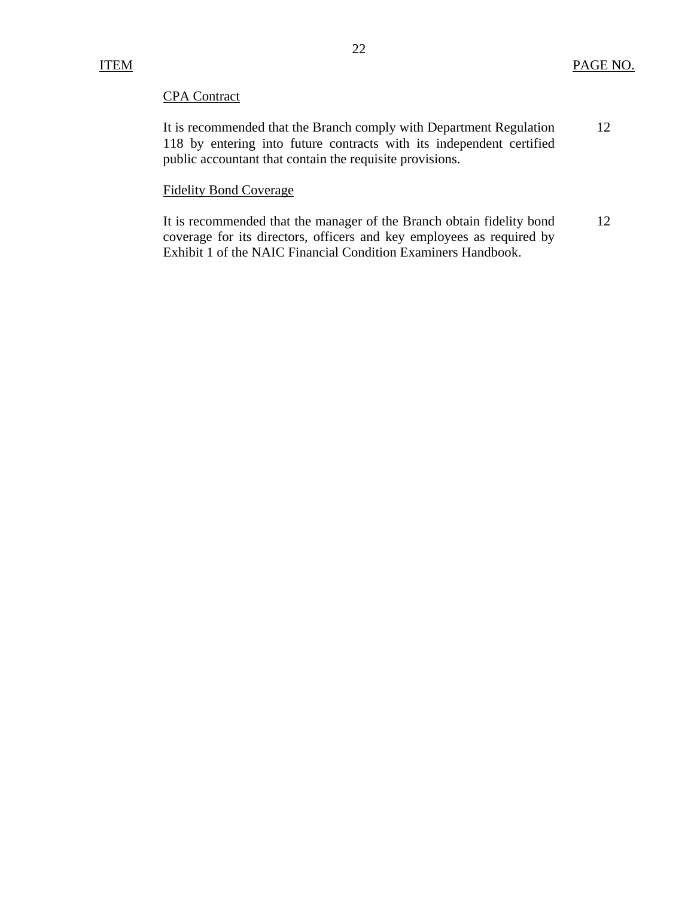## **CPA** Contract

| <b>CPA</b> Contract                                                  |     |
|----------------------------------------------------------------------|-----|
| It is recommended that the Branch comply with Department Regulation  | 12. |
| 118 by entering into future contracts with its independent certified |     |
| public accountant that contain the requisite provisions.             |     |

# **Fidelity Bond Coverage**

It is recommended that the manager of the Branch obtain fidelity bond 12 coverage for its directors, officers and key employees as required by Exhibit 1 of the NAIC Financial Condition Examiners Handbook.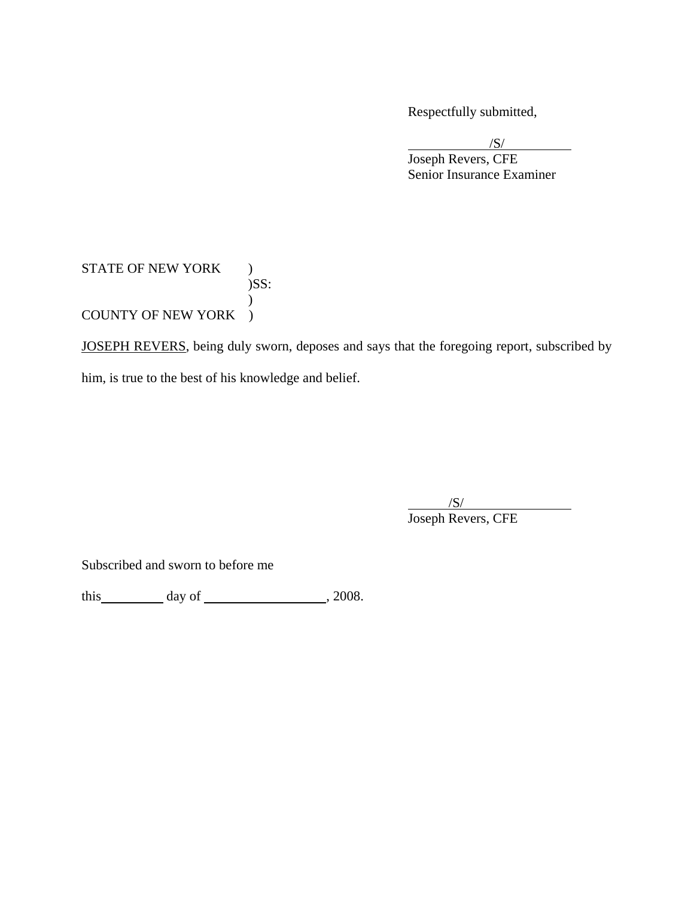Respectfully submitted,

 $/S/$  Joseph Revers, CFE Senior Insurance Examiner  $\sqrt{S}$ 

## STATE OF NEW YORK ) )SS:  $\mathcal{L}$ COUNTY OF NEW YORK )

JOSEPH REVERS, being duly sworn, deposes and says that the foregoing report, subscribed by him, is true to the best of his knowledge and belief.

 $\overline{\phantom{a}}$  $\frac{1}{\sqrt{S}}$ Joseph Revers, CFE

Subscribed and sworn to before me

this  $\qquad \qquad \text{day of} \qquad \qquad .2008.$